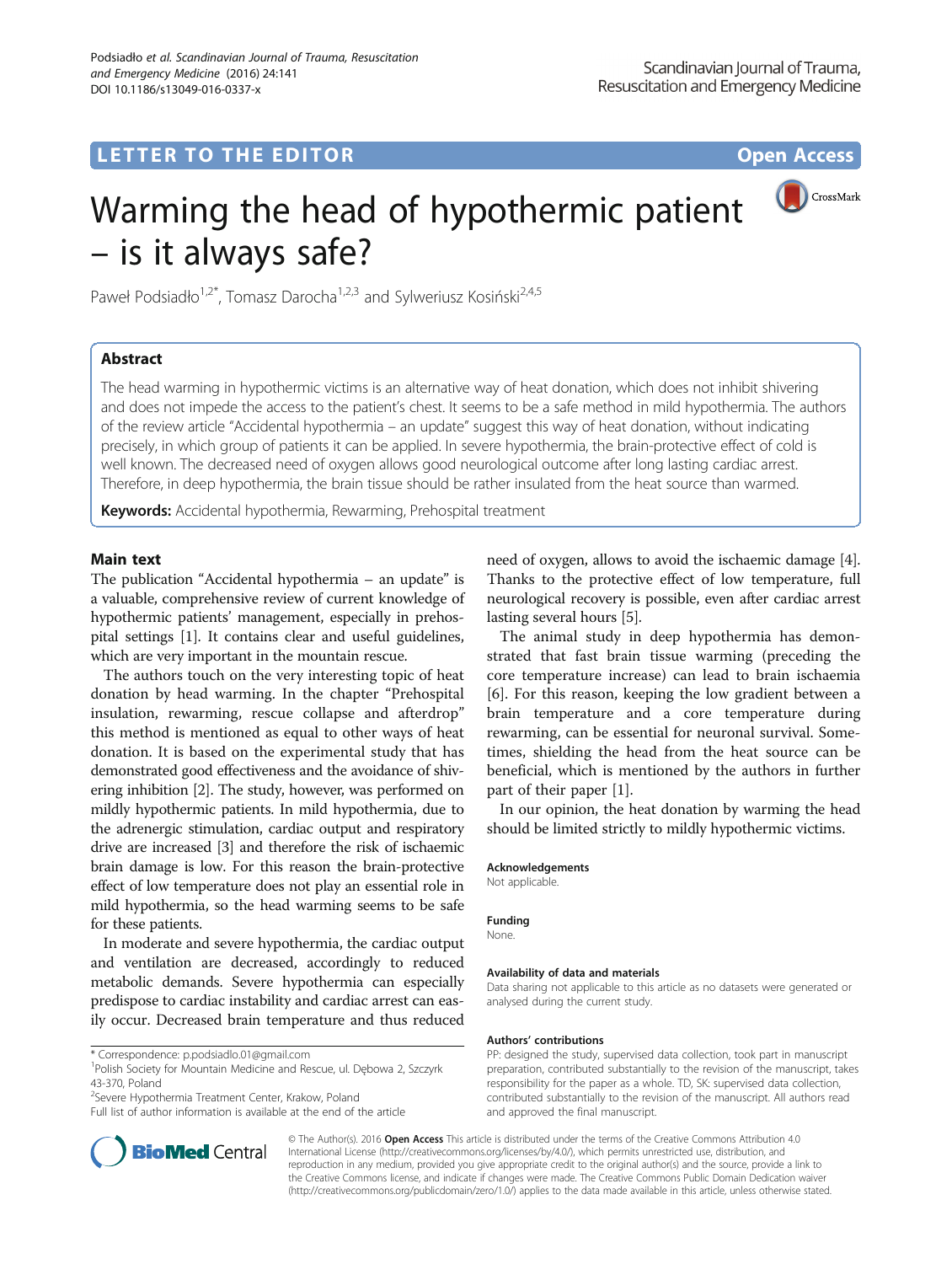# LETTER TO THE EDITOR **CONSIDERING A CONSIDERATION**

CrossMark

# Warming the head of hypothermic patient – is it always safe?

Paweł Podsiadło<sup>1,2\*</sup>, Tomasz Darocha<sup>1,2,3</sup> and Sylweriusz Kosiński<sup>2,4,5</sup>

# Abstract

The head warming in hypothermic victims is an alternative way of heat donation, which does not inhibit shivering and does not impede the access to the patient's chest. It seems to be a safe method in mild hypothermia. The authors of the review article "Accidental hypothermia – an update" suggest this way of heat donation, without indicating precisely, in which group of patients it can be applied. In severe hypothermia, the brain-protective effect of cold is well known. The decreased need of oxygen allows good neurological outcome after long lasting cardiac arrest. Therefore, in deep hypothermia, the brain tissue should be rather insulated from the heat source than warmed.

Keywords: Accidental hypothermia, Rewarming, Prehospital treatment

# Main text

The publication "Accidental hypothermia – an update" is a valuable, comprehensive review of current knowledge of hypothermic patients' management, especially in prehospital settings [[1\]](#page-1-0). It contains clear and useful guidelines, which are very important in the mountain rescue.

The authors touch on the very interesting topic of heat donation by head warming. In the chapter "Prehospital insulation, rewarming, rescue collapse and afterdrop" this method is mentioned as equal to other ways of heat donation. It is based on the experimental study that has demonstrated good effectiveness and the avoidance of shivering inhibition [[2](#page-1-0)]. The study, however, was performed on mildly hypothermic patients. In mild hypothermia, due to the adrenergic stimulation, cardiac output and respiratory drive are increased [[3](#page-1-0)] and therefore the risk of ischaemic brain damage is low. For this reason the brain-protective effect of low temperature does not play an essential role in mild hypothermia, so the head warming seems to be safe for these patients.

In moderate and severe hypothermia, the cardiac output and ventilation are decreased, accordingly to reduced metabolic demands. Severe hypothermia can especially predispose to cardiac instability and cardiac arrest can easily occur. Decreased brain temperature and thus reduced

<sup>2</sup>Severe Hypothermia Treatment Center, Krakow, Poland

Full list of author information is available at the end of the article



The animal study in deep hypothermia has demonstrated that fast brain tissue warming (preceding the core temperature increase) can lead to brain ischaemia [[6\]](#page-1-0). For this reason, keeping the low gradient between a brain temperature and a core temperature during rewarming, can be essential for neuronal survival. Sometimes, shielding the head from the heat source can be beneficial, which is mentioned by the authors in further part of their paper [\[1](#page-1-0)].

In our opinion, the heat donation by warming the head should be limited strictly to mildly hypothermic victims.

#### Acknowledgements

Not applicable.

#### Funding

None.

#### Availability of data and materials

Data sharing not applicable to this article as no datasets were generated or analysed during the current study.

#### Authors' contributions

PP: designed the study, supervised data collection, took part in manuscript preparation, contributed substantially to the revision of the manuscript, takes responsibility for the paper as a whole. TD, SK: supervised data collection, contributed substantially to the revision of the manuscript. All authors read and approved the final manuscript.



© The Author(s). 2016 Open Access This article is distributed under the terms of the Creative Commons Attribution 4.0 International License [\(http://creativecommons.org/licenses/by/4.0/](http://creativecommons.org/licenses/by/4.0/)), which permits unrestricted use, distribution, and reproduction in any medium, provided you give appropriate credit to the original author(s) and the source, provide a link to the Creative Commons license, and indicate if changes were made. The Creative Commons Public Domain Dedication waiver [\(http://creativecommons.org/publicdomain/zero/1.0/](http://creativecommons.org/publicdomain/zero/1.0/)) applies to the data made available in this article, unless otherwise stated.

<sup>\*</sup> Correspondence: [p.podsiadlo.01@gmail.com](mailto:p.podsiadlo.01@gmail.com) <sup>1</sup>

<sup>&</sup>lt;sup>1</sup>Polish Society for Mountain Medicine and Rescue, ul. Dębowa 2, Szczyrk 43-370, Poland